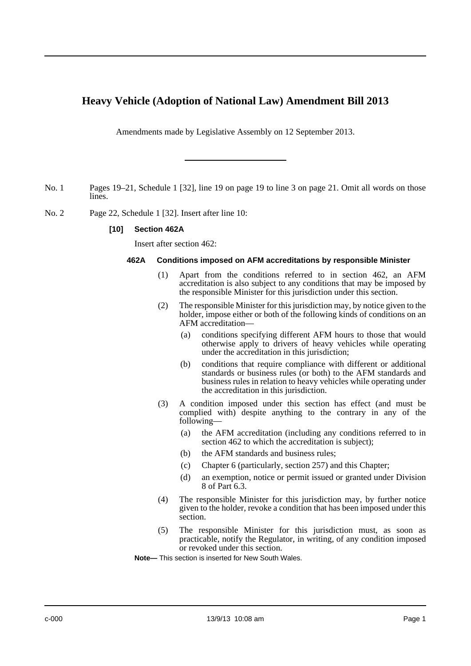# **Heavy Vehicle (Adoption of National Law) Amendment Bill 2013**

Amendments made by Legislative Assembly on 12 September 2013.

- No. 1 Pages 19–21, Schedule 1 [32], line 19 on page 19 to line 3 on page 21. Omit all words on those lines.
- No. 2 Page 22, Schedule 1 [32]. Insert after line 10:

# **[10] Section 462A**

Insert after section 462:

## **462A Conditions imposed on AFM accreditations by responsible Minister**

- (1) Apart from the conditions referred to in section 462, an AFM accreditation is also subject to any conditions that may be imposed by the responsible Minister for this jurisdiction under this section.
- (2) The responsible Minister for this jurisdiction may, by notice given to the holder, impose either or both of the following kinds of conditions on an AFM accreditation—
	- (a) conditions specifying different AFM hours to those that would otherwise apply to drivers of heavy vehicles while operating under the accreditation in this jurisdiction;
	- (b) conditions that require compliance with different or additional standards or business rules (or both) to the AFM standards and business rules in relation to heavy vehicles while operating under the accreditation in this jurisdiction.
- (3) A condition imposed under this section has effect (and must be complied with) despite anything to the contrary in any of the following—
	- (a) the AFM accreditation (including any conditions referred to in section 462 to which the accreditation is subject);
	- (b) the AFM standards and business rules;
	- (c) Chapter 6 (particularly, section 257) and this Chapter;
	- (d) an exemption, notice or permit issued or granted under Division 8 of Part 6.3.
- (4) The responsible Minister for this jurisdiction may, by further notice given to the holder, revoke a condition that has been imposed under this section.
- (5) The responsible Minister for this jurisdiction must, as soon as practicable, notify the Regulator, in writing, of any condition imposed or revoked under this section.

**Note—** This section is inserted for New South Wales.